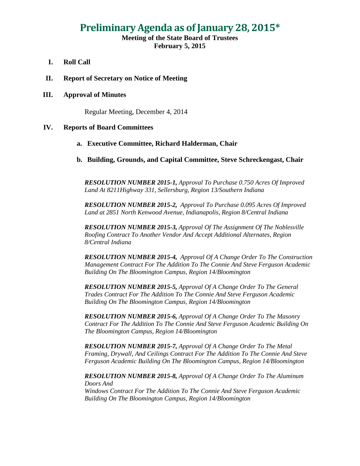# **Preliminary Agenda as of January 28, 2015\***

## **Meeting of the State Board of Trustees February 5, 2015**

- **I. Roll Call**
- **II. Report of Secretary on Notice of Meeting**

#### **III. Approval of Minutes**

Regular Meeting, December 4, 2014

#### **IV. Reports of Board Committees**

#### **a. Executive Committee, Richard Halderman, Chair**

**b. Building, Grounds, and Capital Committee, Steve Schreckengast, Chair**

*RESOLUTION NUMBER 2015-1, Approval To Purchase 0.750 Acres Of Improved Land At 8211Highway 331, Sellersburg, Region 13/Southern Indiana*

*RESOLUTION NUMBER 2015-2, Approval To Purchase 0.095 Acres Of Improved Land at 2851 North Kenwood Avenue, Indianapolis, Region 8/Central Indiana*

*RESOLUTION NUMBER 2015-3, Approval Of The Assignment Of The Noblesville Roofing Contract To Another Vendor And Accept Additional Alternates, Region 8/Central Indiana*

*RESOLUTION NUMBER 2015-4, Approval Of A Change Order To The Construction Management Contract For The Addition To The Connie And Steve Ferguson Academic Building On The Bloomington Campus, Region 14/Bloomington* 

*RESOLUTION NUMBER 2015-5, Approval Of A Change Order To The General Trades Contract For The Addition To The Connie And Steve Ferguson Academic Building On The Bloomington Campus, Region 14/Bloomington*

*RESOLUTION NUMBER 2015-6, Approval Of A Change Order To The Masonry Contract For The Addition To The Connie And Steve Ferguson Academic Building On The Bloomington Campus, Region 14/Bloomington*

*RESOLUTION NUMBER 2015-7, Approval Of A Change Order To The Metal Framing, Drywall, And Ceilings Contract For The Addition To The Connie And Steve Ferguson Academic Building On The Bloomington Campus, Region 14/Bloomington*

*RESOLUTION NUMBER 2015-8, Approval Of A Change Order To The Aluminum Doors And Windows Contract For The Addition To The Connie And Steve Ferguson Academic Building On The Bloomington Campus, Region 14/Bloomington*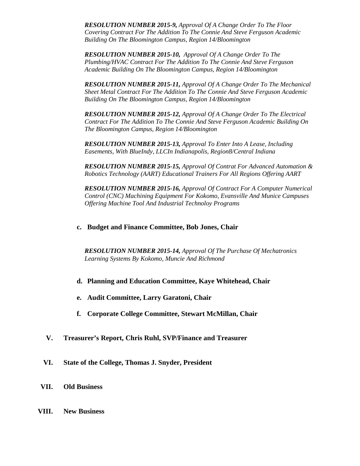*RESOLUTION NUMBER 2015-9, Approval Of A Change Order To The Floor Covering Contract For The Addition To The Connie And Steve Ferguson Academic Building On The Bloomington Campus, Region 14/Bloomington*

*RESOLUTION NUMBER 2015-10, Approval Of A Change Order To The Plumbing/HVAC Contract For The Addition To The Connie And Steve Ferguson Academic Building On The Bloomington Campus, Region 14/Bloomington* 

*RESOLUTION NUMBER 2015-11, Approval Of A Change Order To The Mechanical Sheet Metal Contract For The Addition To The Connie And Steve Ferguson Academic Building On The Bloomington Campus, Region 14/Bloomington* 

*RESOLUTION NUMBER 2015-12, Approval Of A Change Order To The Electrical Contract For The Addition To The Connie And Steve Ferguson Academic Building On The Bloomington Campus, Region 14/Bloomington*

*RESOLUTION NUMBER 2015-13, Approval To Enter Into A Lease, Including Easements, With BlueIndy, LLCIn Indianapolis, Region8/Central Indiana*

*RESOLUTION NUMBER 2015-15, Approval Of Contrat For Advanced Automation & Robotics Technology (AART) Educational Trainers For All Regions Offering AART*

*RESOLUTION NUMBER 2015-16, Approval Of Contract For A Computer Numerical Control (CNC) Machining Equipment For Kokomo, Evansville And Munice Campuses Offering Machine Tool And Industrial Technoloy Programs*

## **c. Budget and Finance Committee, Bob Jones, Chair**

*RESOLUTION NUMBER 2015-14, Approval Of The Purchase Of Mechatronics Learning Systems By Kokomo, Muncie And Richmond*

- **d. Planning and Education Committee, Kaye Whitehead, Chair**
- **e. Audit Committee, Larry Garatoni, Chair**
- **f. Corporate College Committee, Stewart McMillan, Chair**
- **V. Treasurer's Report, Chris Ruhl, SVP/Finance and Treasurer**
- **VI. State of the College, Thomas J. Snyder, President**
- **VII. Old Business**
- **VIII. New Business**